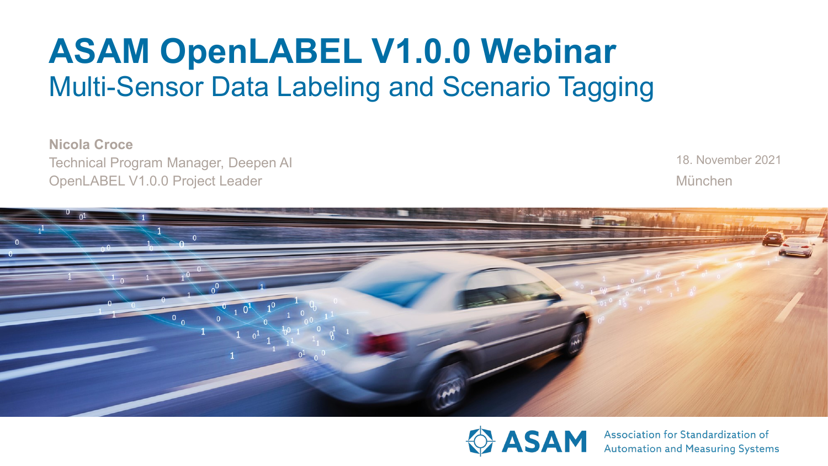# **ASAM OpenLABEL V1.0.0 Webinar** Multi-Sensor Data Labeling and Scenario Tagging

**Nicola Croce** Technical Program Manager, Deepen AI OpenLABEL V1.0.0 Project Leader

München 18. November 2021





Association for Standardization of **Automation and Measuring Systems**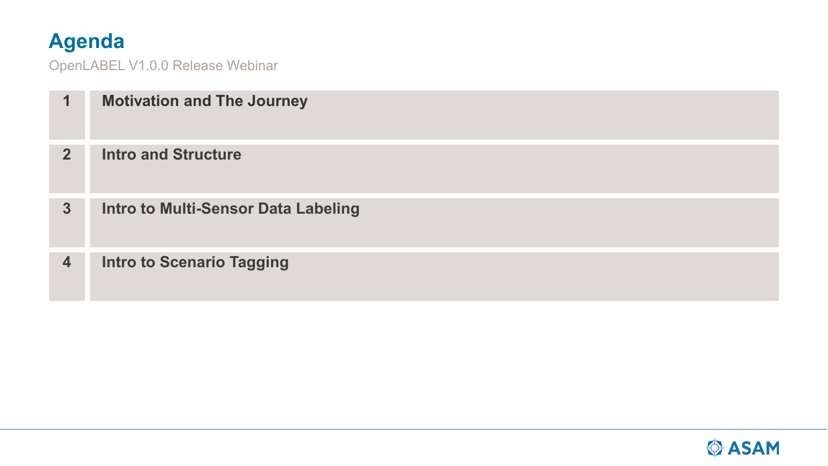#### **Agenda**

OpenLABEL V1.0.0 Release Webinar

| 1                  | <b>Motivation and The Journey</b>   |
|--------------------|-------------------------------------|
| 2 <sup>1</sup>     | <b>Intro and Structure</b>          |
| $\boldsymbol{3}$   | Intro to Multi-Sensor Data Labeling |
| $\overline{\bf 4}$ | <b>Intro to Scenario Tagging</b>    |

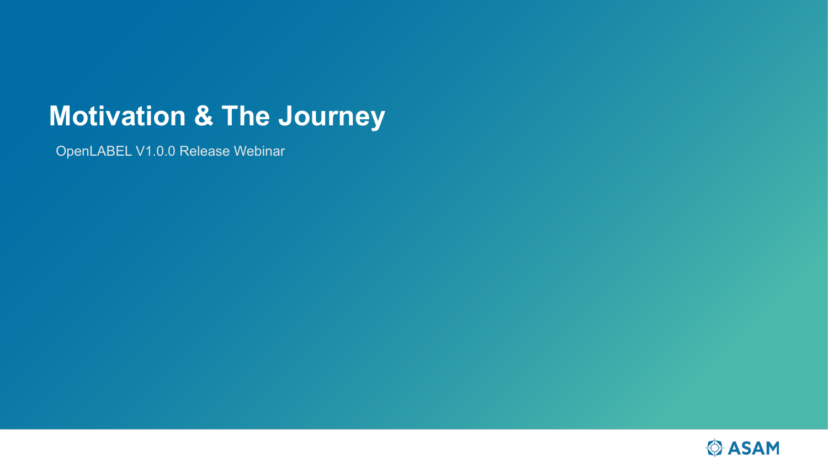## **Motivation & The Journey**

OpenLABEL V1.0.0 Release Webinar

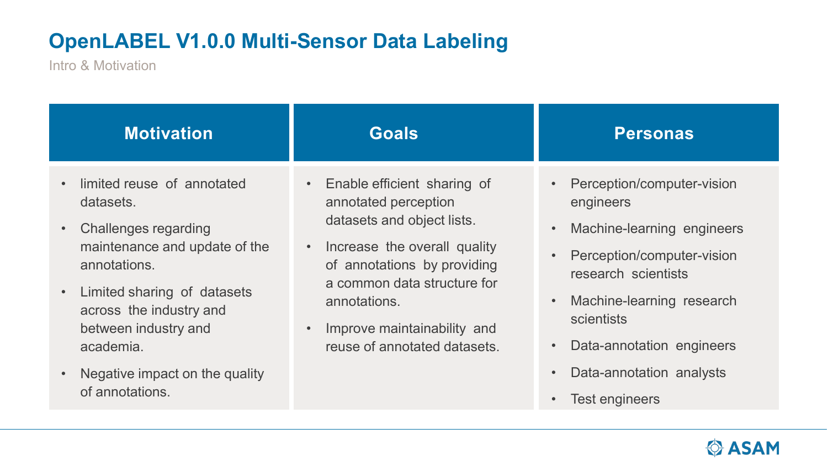### **OpenLABEL V1.0.0 Multi-Sensor Data Labeling**

Intro & Motivation

| <b>Motivation</b>                                                                                                                                                                                                                                                                                                               | <b>Goals</b>                                                                                                                                                                                                                                                                                          | <b>Personas</b>                                                                                                                                                                                                                                                                   |
|---------------------------------------------------------------------------------------------------------------------------------------------------------------------------------------------------------------------------------------------------------------------------------------------------------------------------------|-------------------------------------------------------------------------------------------------------------------------------------------------------------------------------------------------------------------------------------------------------------------------------------------------------|-----------------------------------------------------------------------------------------------------------------------------------------------------------------------------------------------------------------------------------------------------------------------------------|
| limited reuse of annotated<br>$\bullet$<br>datasets.<br><b>Challenges regarding</b><br>$\bullet$<br>maintenance and update of the<br>annotations.<br>Limited sharing of datasets<br>$\bullet$<br>across the industry and<br>between industry and<br>academia.<br>Negative impact on the quality<br>$\bullet$<br>of annotations. | Enable efficient sharing of<br>$\bullet$<br>annotated perception<br>datasets and object lists.<br>Increase the overall quality<br>$\bullet$<br>of annotations by providing<br>a common data structure for<br>annotations.<br>Improve maintainability and<br>$\bullet$<br>reuse of annotated datasets. | Perception/computer-vision<br>engineers<br>Machine-learning engineers<br>$\bullet$<br>Perception/computer-vision<br>research scientists<br>Machine-learning research<br>$\bullet$<br>scientists<br>Data-annotation engineers<br>Data-annotation analysts<br><b>Test engineers</b> |

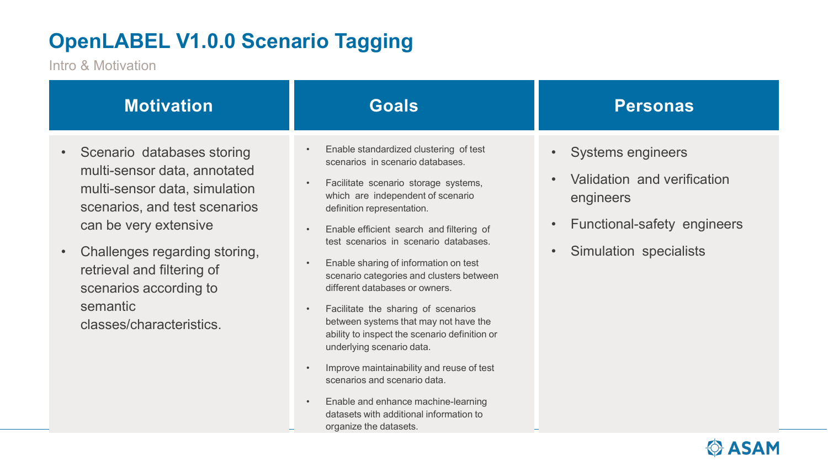### **OpenLABEL V1.0.0 Scenario Tagging**

Intro & Motivation

| <b>Motivation</b>                                                                                                                                                                                                                                                                                                | <b>Goals</b>                                                                                                                                                                                                                                                                                                                                                                                                                                                                                                                                                                                                                                                                                                                                             | <b>Personas</b>                                                                                                               |
|------------------------------------------------------------------------------------------------------------------------------------------------------------------------------------------------------------------------------------------------------------------------------------------------------------------|----------------------------------------------------------------------------------------------------------------------------------------------------------------------------------------------------------------------------------------------------------------------------------------------------------------------------------------------------------------------------------------------------------------------------------------------------------------------------------------------------------------------------------------------------------------------------------------------------------------------------------------------------------------------------------------------------------------------------------------------------------|-------------------------------------------------------------------------------------------------------------------------------|
| Scenario databases storing<br>$\bullet$<br>multi-sensor data, annotated<br>multi-sensor data, simulation<br>scenarios, and test scenarios<br>can be very extensive<br>Challenges regarding storing,<br>$\bullet$<br>retrieval and filtering of<br>scenarios according to<br>semantic<br>classes/characteristics. | Enable standardized clustering of test<br>scenarios in scenario databases.<br>Facilitate scenario storage systems,<br>which are independent of scenario<br>definition representation.<br>Enable efficient search and filtering of<br>test scenarios in scenario databases.<br>Enable sharing of information on test<br>scenario categories and clusters between<br>different databases or owners.<br>Facilitate the sharing of scenarios<br>between systems that may not have the<br>ability to inspect the scenario definition or<br>underlying scenario data.<br>Improve maintainability and reuse of test<br>scenarios and scenario data.<br>Enable and enhance machine-learning<br>datasets with additional information to<br>organize the datasets. | <b>Systems engineers</b><br>Validation and verification<br>engineers<br>Functional-safety engineers<br>Simulation specialists |

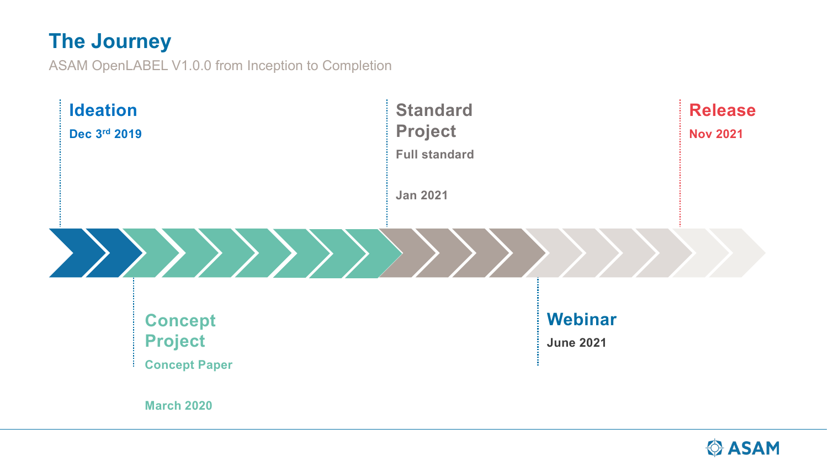#### **The Journey**

ASAM OpenLABEL V1.0.0 from Inception to Completion